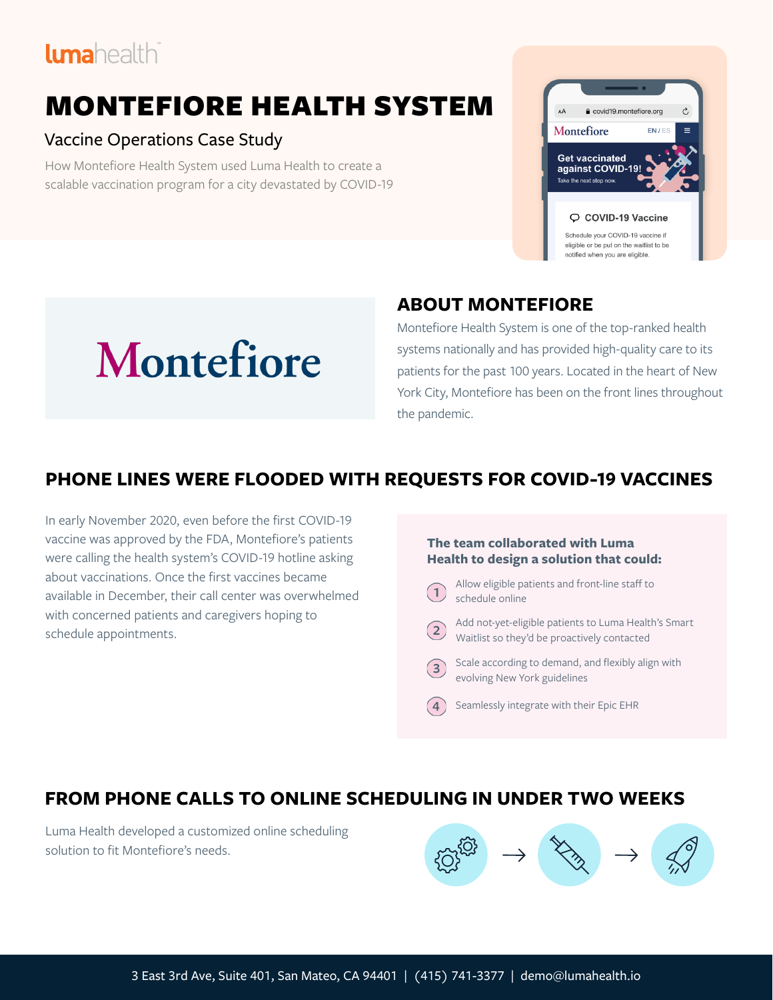# lumahealthi

# MONTEFIORE HEALTH SYSTEM

#### Vaccine Operations Case Study

How Montefiore Health System used Luma Health to create a scalable vaccination program for a city devastated by COVID-19





## **ABOUT MONTEFIORE**

Montefiore Health System is one of the top-ranked health systems nationally and has provided high-quality care to its patients for the past 100 years. Located in the heart of New York City, Montefiore has been on the front lines throughout the pandemic.

## **PHONE LINES WERE FLOODED WITH REQUESTS FOR COVID-19 VACCINES**

In early November 2020, even before the first COVID-19 vaccine was approved by the FDA, Montefiore's patients were calling the health system's COVID-19 hotline asking about vaccinations. Once the first vaccines became available in December, their call center was overwhelmed with concerned patients and caregivers hoping to schedule appointments.

#### **The team collaborated with Luma Health to design a solution that could:**

- Allow eligible patients and front-line staff to schedule online
- Add not-yet-eligible patients to Luma Health's Smart Waitlist so they'd be proactively contacted
- Scale according to demand, and flexibly align with  $(3)$ evolving New York guidelines
	- Seamlessly integrate with their Epic EHR

## **FROM PHONE CALLS TO ONLINE SCHEDULING IN UNDER TWO WEEKS**

Luma Health developed a customized online scheduling solution to fit Montefiore's needs.